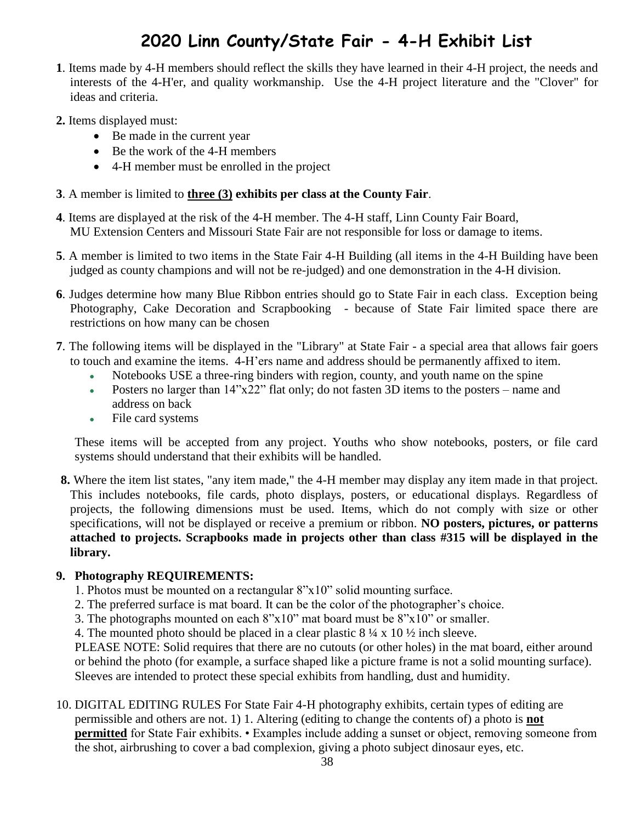## **2020 Linn County/State Fair - 4-H Exhibit List**

- **1**. Items made by 4-H members should reflect the skills they have learned in their 4-H project, the needs and interests of the 4-H'er, and quality workmanship. Use the 4-H project literature and the "Clover" for ideas and criteria.
- **2.** Items displayed must:
	- Be made in the current year
	- Be the work of the 4-H members
	- 4-H member must be enrolled in the project
- **3**. A member is limited to **three (3) exhibits per class at the County Fair**.
- **4**. Items are displayed at the risk of the 4-H member. The 4-H staff, Linn County Fair Board, MU Extension Centers and Missouri State Fair are not responsible for loss or damage to items.
- **5**. A member is limited to two items in the State Fair 4-H Building (all items in the 4-H Building have been judged as county champions and will not be re-judged) and one demonstration in the 4-H division.
- **6**. Judges determine how many Blue Ribbon entries should go to State Fair in each class. Exception being Photography, Cake Decoration and Scrapbooking - because of State Fair limited space there are restrictions on how many can be chosen
- **7**. The following items will be displayed in the "Library" at State Fair a special area that allows fair goers to touch and examine the items. 4-H'ers name and address should be permanently affixed to item.
	- Notebooks USE a three-ring binders with region, county, and youth name on the spine
	- Posters no larger than  $14"x22"$  flat only; do not fasten 3D items to the posters name and address on back
	- File card systems

These items will be accepted from any project. Youths who show notebooks, posters, or file card systems should understand that their exhibits will be handled.

**8.** Where the item list states, "any item made," the 4-H member may display any item made in that project. This includes notebooks, file cards, photo displays, posters, or educational displays. Regardless of projects, the following dimensions must be used. Items, which do not comply with size or other specifications, will not be displayed or receive a premium or ribbon. **NO posters, pictures, or patterns attached to projects. Scrapbooks made in projects other than class #315 will be displayed in the library.**

#### **9. Photography REQUIREMENTS:**

- 1. Photos must be mounted on a rectangular 8"x10" solid mounting surface.
- 2. The preferred surface is mat board. It can be the color of the photographer's choice.
- 3. The photographs mounted on each 8"x10" mat board must be 8"x10" or smaller.
- 4. The mounted photo should be placed in a clear plastic  $8\frac{1}{4} \times 10\frac{1}{2}$  inch sleeve.

PLEASE NOTE: Solid requires that there are no cutouts (or other holes) in the mat board, either around or behind the photo (for example, a surface shaped like a picture frame is not a solid mounting surface). Sleeves are intended to protect these special exhibits from handling, dust and humidity.

10. DIGITAL EDITING RULES For State Fair 4-H photography exhibits, certain types of editing are permissible and others are not. 1) 1. Altering (editing to change the contents of) a photo is **not permitted** for State Fair exhibits. • Examples include adding a sunset or object, removing someone from the shot, airbrushing to cover a bad complexion, giving a photo subject dinosaur eyes, etc.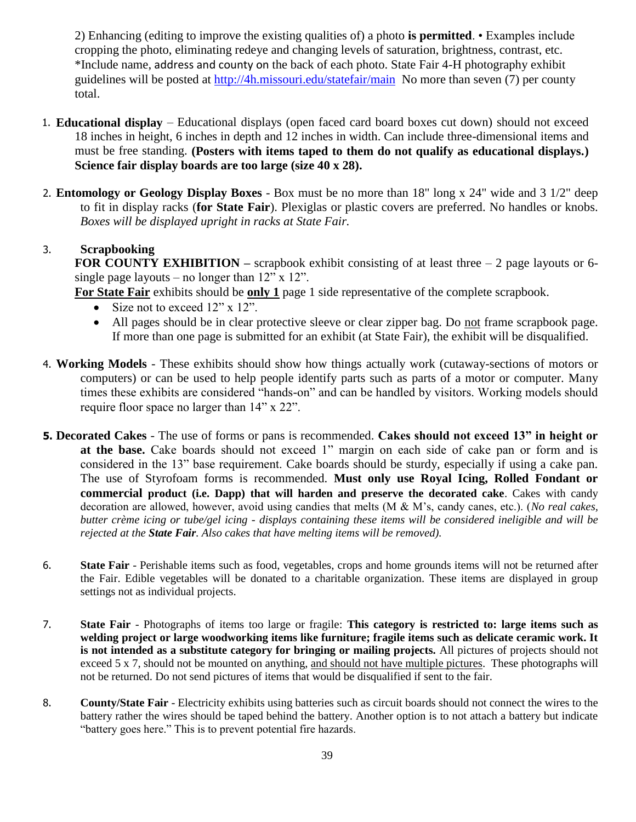2) Enhancing (editing to improve the existing qualities of) a photo **is permitted**. • Examples include cropping the photo, eliminating redeye and changing levels of saturation, brightness, contrast, etc. \*Include name, address and county on the back of each photo. State Fair 4-H photography exhibit guidelines will be posted at<http://4h.missouri.edu/statefair/main> No more than seven (7) per county total.

- 1. **Educational display** Educational displays (open faced card board boxes cut down) should not exceed 18 inches in height, 6 inches in depth and 12 inches in width. Can include three-dimensional items and must be free standing. **(Posters with items taped to them do not qualify as educational displays.) Science fair display boards are too large (size 40 x 28).**
- 2. **Entomology or Geology Display Boxes** Box must be no more than 18" long x 24" wide and 3 1/2" deep to fit in display racks (**for State Fair**). Plexiglas or plastic covers are preferred. No handles or knobs. *Boxes will be displayed upright in racks at State Fair.*

#### 3. **Scrapbooking**

**FOR COUNTY EXHIBITION** – scrapbook exhibit consisting of at least three – 2 page layouts or 6single page layouts – no longer than  $12$ " x  $12$ ".

**For State Fair** exhibits should be **only 1** page 1 side representative of the complete scrapbook.

- Size not to exceed 12" x 12".
- All pages should be in clear protective sleeve or clear zipper bag. Do not frame scrapbook page. If more than one page is submitted for an exhibit (at State Fair), the exhibit will be disqualified.
- 4. **Working Models** These exhibits should show how things actually work (cutaway-sections of motors or computers) or can be used to help people identify parts such as parts of a motor or computer. Many times these exhibits are considered "hands-on" and can be handled by visitors. Working models should require floor space no larger than 14" x 22".
- **5. Decorated Cakes**  The use of forms or pans is recommended. **Cakes should not exceed 13" in height or at the base.** Cake boards should not exceed 1" margin on each side of cake pan or form and is considered in the 13" base requirement. Cake boards should be sturdy, especially if using a cake pan. The use of Styrofoam forms is recommended. **Must only use Royal Icing, Rolled Fondant or commercial product (i.e. Dapp) that will harden and preserve the decorated cake**. Cakes with candy decoration are allowed, however, avoid using candies that melts (M & M's, candy canes, etc.). (*No real cakes, butter crème icing or tube/gel icing - displays containing these items will be considered ineligible and will be rejected at the State Fair. Also cakes that have melting items will be removed).*
- 6. **State Fair** Perishable items such as food, vegetables, crops and home grounds items will not be returned after the Fair. Edible vegetables will be donated to a charitable organization. These items are displayed in group settings not as individual projects.
- 7. **State Fair** Photographs of items too large or fragile: **This category is restricted to: large items such as welding project or large woodworking items like furniture; fragile items such as delicate ceramic work. It is not intended as a substitute category for bringing or mailing projects.** All pictures of projects should not exceed 5 x 7, should not be mounted on anything, and should not have multiple pictures. These photographs will not be returned. Do not send pictures of items that would be disqualified if sent to the fair.
- 8. **County/State Fair** Electricity exhibits using batteries such as circuit boards should not connect the wires to the battery rather the wires should be taped behind the battery. Another option is to not attach a battery but indicate "battery goes here." This is to prevent potential fire hazards.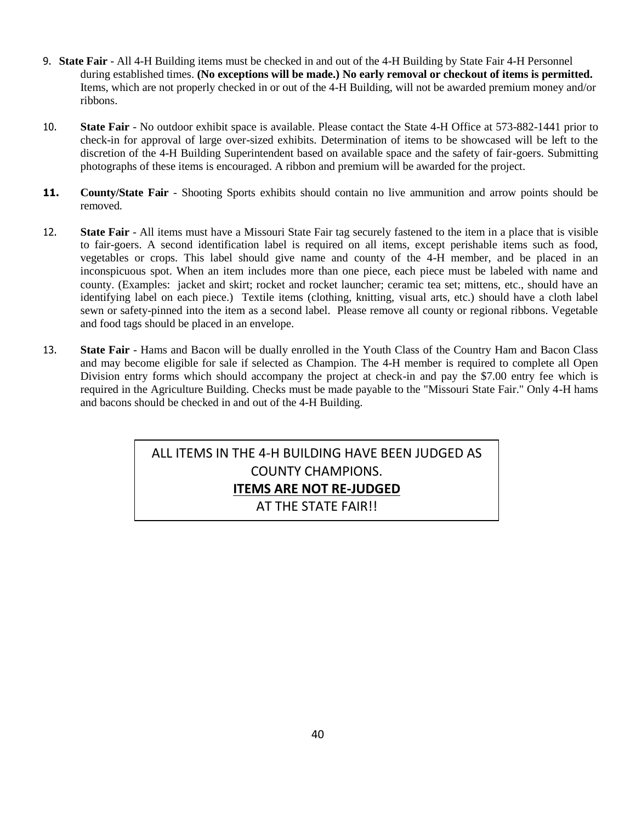- 9. **State Fair** All 4-H Building items must be checked in and out of the 4-H Building by State Fair 4-H Personnel during established times. **(No exceptions will be made.) No early removal or checkout of items is permitted.** Items, which are not properly checked in or out of the 4-H Building, will not be awarded premium money and/or ribbons.
- 10. **State Fair** No outdoor exhibit space is available. Please contact the State 4-H Office at 573-882-1441 prior to check-in for approval of large over-sized exhibits. Determination of items to be showcased will be left to the discretion of the 4-H Building Superintendent based on available space and the safety of fair-goers. Submitting photographs of these items is encouraged. A ribbon and premium will be awarded for the project.
- **11. County/State Fair** Shooting Sports exhibits should contain no live ammunition and arrow points should be removed.
- 12. **State Fair** All items must have a Missouri State Fair tag securely fastened to the item in a place that is visible to fair-goers. A second identification label is required on all items, except perishable items such as food, vegetables or crops. This label should give name and county of the 4-H member, and be placed in an inconspicuous spot. When an item includes more than one piece, each piece must be labeled with name and county. (Examples: jacket and skirt; rocket and rocket launcher; ceramic tea set; mittens, etc., should have an identifying label on each piece.) Textile items (clothing, knitting, visual arts, etc.) should have a cloth label sewn or safety-pinned into the item as a second label. Please remove all county or regional ribbons. Vegetable and food tags should be placed in an envelope.
- 13. **State Fair** Hams and Bacon will be dually enrolled in the Youth Class of the Country Ham and Bacon Class and may become eligible for sale if selected as Champion. The 4-H member is required to complete all Open Division entry forms which should accompany the project at check-in and pay the \$7.00 entry fee which is required in the Agriculture Building. Checks must be made payable to the "Missouri State Fair." Only 4-H hams and bacons should be checked in and out of the 4-H Building.

ALL ITEMS IN THE 4-H BUILDING HAVE BEEN JUDGED AS COUNTY CHAMPIONS. **ITEMS ARE NOT RE-JUDGED** AT THE STATE FAIR!!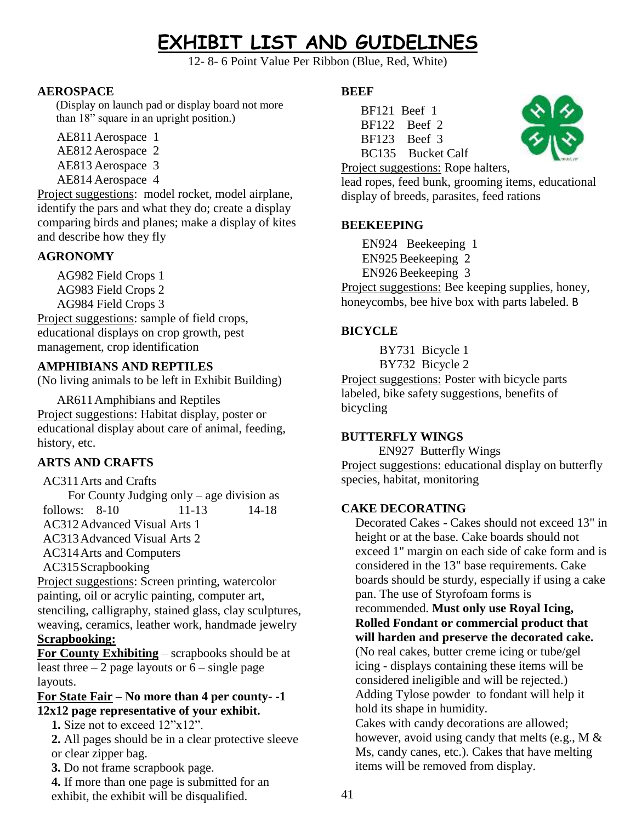# **EXHIBIT LIST AND GUIDELINES**

12- 8- 6 Point Value Per Ribbon (Blue, Red, White)

#### **AEROSPACE**

(Display on launch pad or display board not more than 18" square in an upright position.)

AE811 Aerospace 1

- AE812 Aerospace 2
- AE813 Aerospace 3
- AE814 Aerospace 4

Project suggestions: model rocket, model airplane, identify the pars and what they do; create a display comparing birds and planes; make a display of kites and describe how they fly

## **AGRONOMY**

AG982 Field Crops 1 AG983 Field Crops 2 AG984 Field Crops 3

Project suggestions: sample of field crops, educational displays on crop growth, pest management, crop identification

#### **AMPHIBIANS AND REPTILES**

(No living animals to be left in Exhibit Building)

AR611Amphibians and Reptiles Project suggestions: Habitat display, poster or educational display about care of animal, feeding, history, etc.

## **ARTS AND CRAFTS**

#### AC311Arts and Crafts

 For County Judging only – age division as follows: 8-10 11-13 14-18 AC312Advanced Visual Arts 1

AC313Advanced Visual Arts 2

AC314Arts and Computers

AC315Scrapbooking

Project suggestions: Screen printing, watercolor painting, oil or acrylic painting, computer art, stenciling, calligraphy, stained glass, clay sculptures, weaving, ceramics, leather work, handmade jewelry **Scrapbooking:**

**For County Exhibiting** – scrapbooks should be at least three  $-2$  page layouts or  $6$  – single page layouts.

#### **For State Fair – No more than 4 per county- -1 12x12 page representative of your exhibit.**

**1.** Size not to exceed 12"x12".

**2.** All pages should be in a clear protective sleeve or clear zipper bag.

**3.** Do not frame scrapbook page.

**4.** If more than one page is submitted for an exhibit, the exhibit will be disqualified.

#### **BEEF**

BF121 Beef 1 BF122 Beef 2 BF123 Beef 3 BC135 Bucket Calf

Project suggestions: Rope halters, lead ropes, feed bunk, grooming items, educational display of breeds, parasites, feed rations

#### **BEEKEEPING**

EN924 Beekeeping 1 EN925 Beekeeping 2 EN926 Beekeeping 3

Project suggestions: Bee keeping supplies, honey, honeycombs, bee hive box with parts labeled. B

## **BICYCLE**

BY731 Bicycle 1 BY732 Bicycle 2

Project suggestions: Poster with bicycle parts labeled, bike safety suggestions, benefits of bicycling

#### **BUTTERFLY WINGS**

EN927 Butterfly Wings Project suggestions: educational display on butterfly species, habitat, monitoring

#### **CAKE DECORATING**

Decorated Cakes - Cakes should not exceed 13" in height or at the base. Cake boards should not exceed 1" margin on each side of cake form and is considered in the 13" base requirements. Cake boards should be sturdy, especially if using a cake pan. The use of Styrofoam forms is

recommended. **Must only use Royal Icing, Rolled Fondant or commercial product that will harden and preserve the decorated cake.**

(No real cakes, butter creme icing or tube/gel icing - displays containing these items will be considered ineligible and will be rejected.) Adding Tylose powder to fondant will help it hold its shape in humidity.

Cakes with candy decorations are allowed; however, avoid using candy that melts (e.g., M & Ms, candy canes, etc.). Cakes that have melting items will be removed from display.

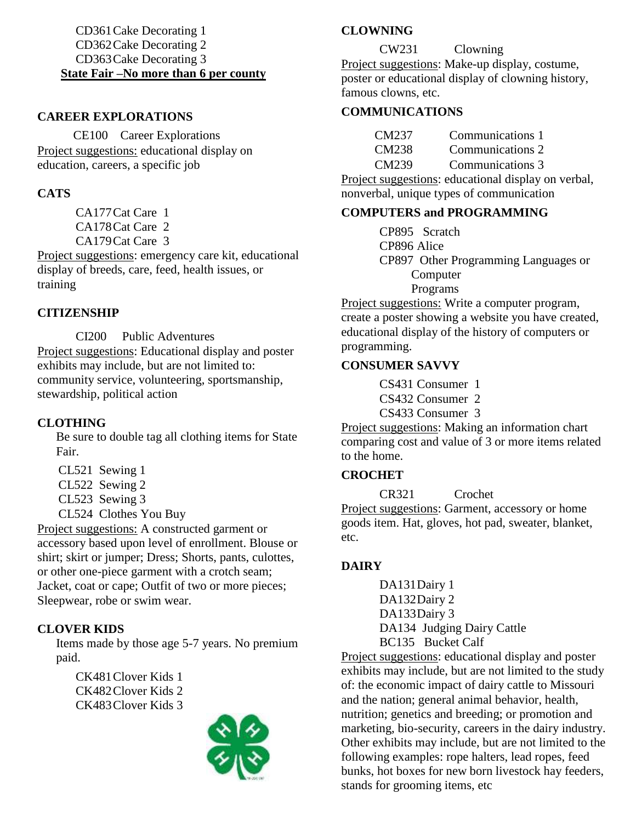#### CD361Cake Decorating 1 CD362Cake Decorating 2 CD363Cake Decorating 3 **State Fair –No more than 6 per county**

#### **CAREER EXPLORATIONS**

 CE100 Career Explorations Project suggestions: educational display on education, careers, a specific job

#### **CATS**

CA177Cat Care 1 CA178Cat Care 2 CA179Cat Care 3

Project suggestions: emergency care kit, educational display of breeds, care, feed, health issues, or training

#### **CITIZENSHIP**

CI200 Public Adventures Project suggestions: Educational display and poster exhibits may include, but are not limited to: community service, volunteering, sportsmanship, stewardship, political action

#### **CLOTHING**

Be sure to double tag all clothing items for State Fair.

- CL521 Sewing 1
- CL522 Sewing 2
- CL523 Sewing 3
- CL524 Clothes You Buy

Project suggestions: A constructed garment or accessory based upon level of enrollment. Blouse or shirt; skirt or jumper; Dress; Shorts, pants, culottes, or other one-piece garment with a crotch seam; Jacket, coat or cape; Outfit of two or more pieces; Sleepwear, robe or swim wear.

#### **CLOVER KIDS**

Items made by those age 5-7 years. No premium paid.

CK481Clover Kids 1 CK482Clover Kids 2 CK483Clover Kids 3



#### **CLOWNING**

CW231 Clowning Project suggestions: Make-up display, costume, poster or educational display of clowning history, famous clowns, etc.

#### **COMMUNICATIONS**

| CM237 | Communications 1 |
|-------|------------------|
| CM238 | Communications 2 |
| CM239 | Communications 3 |

Project suggestions: educational display on verbal, nonverbal, unique types of communication

#### **COMPUTERS and PROGRAMMING**

CP895 Scratch CP896 Alice CP897 Other Programming Languages or Computer Programs

Project suggestions: Write a computer program, create a poster showing a website you have created, educational display of the history of computers or programming.

#### **CONSUMER SAVVY**

CS431 Consumer 1

CS432 Consumer 2

CS433 Consumer 3

Project suggestions: Making an information chart comparing cost and value of 3 or more items related to the home.

#### **CROCHET**

CR321 Crochet Project suggestions: Garment, accessory or home goods item. Hat, gloves, hot pad, sweater, blanket, etc.

#### **DAIRY**

DA131Dairy 1 DA132Dairy 2 DA133Dairy 3 DA134 Judging Dairy Cattle BC135 Bucket Calf

Project suggestions: educational display and poster exhibits may include, but are not limited to the study of: the economic impact of dairy cattle to Missouri and the nation; general animal behavior, health, nutrition; genetics and breeding; or promotion and marketing, bio-security, careers in the dairy industry. Other exhibits may include, but are not limited to the following examples: rope halters, lead ropes, feed bunks, hot boxes for new born livestock hay feeders, stands for grooming items, etc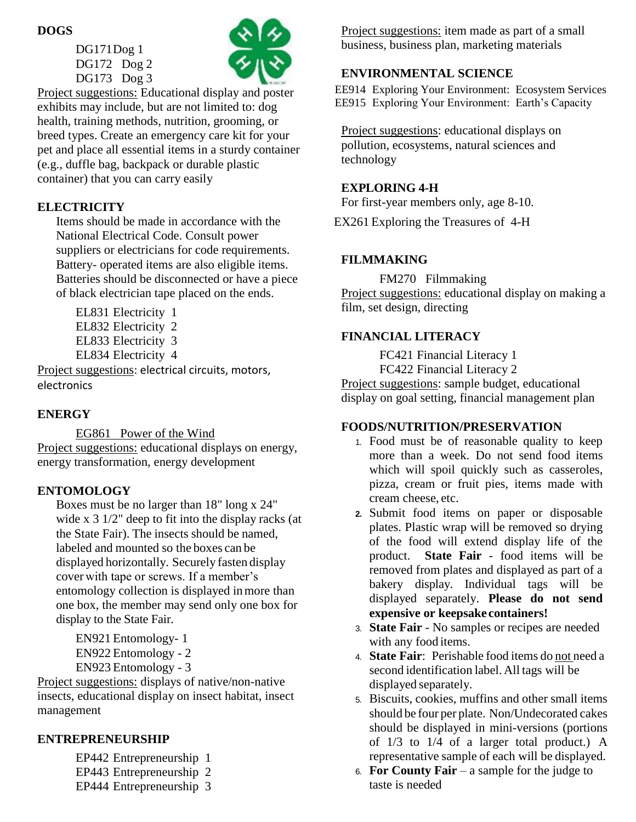#### **DOGS**

DG171Dog 1 DG172 Dog 2 DG173 Dog 3



Project suggestions: Educational display and poster exhibits may include, but are not limited to: dog health, training methods, nutrition, grooming, or breed types. Create an emergency care kit for your pet and place all essential items in a sturdy container (e.g., duffle bag, backpack or durable plastic container) that you can carry easily

## **ELECTRICITY**

Items should be made in accordance with the National Electrical Code. Consult power suppliers or electricians for code requirements. Battery- operated items are also eligible items. Batteries should be disconnected or have a piece of black electrician tape placed on the ends.

- EL831 Electricity 1
- EL832 Electricity 2
- EL833 Electricity 3
- EL834 Electricity 4

Project suggestions: electrical circuits, motors, electronics

## **ENERGY**

EG861 Power of the Wind Project suggestions: educational displays on energy, energy transformation, energy development

## **ENTOMOLOGY**

Boxes must be no larger than 18" long x 24" wide x 3 1/2" deep to fit into the display racks (at the State Fair). The insects should be named, labeled and mounted so the boxes can be displayed horizontally. Securely fasten display cover with tape or screws. If a member's entomology collection is displayed inmore than one box, the member may send only one box for display to the State Fair.

EN921 Entomology- 1 EN922 Entomology - 2 EN923 Entomology - 3

Project suggestions: displays of native/non-native insects, educational display on insect habitat, insect management

## **ENTREPRENEURSHIP**

- EP442 Entrepreneurship 1
- EP443 Entrepreneurship 2
- EP444 Entrepreneurship 3

Project suggestions: item made as part of a small business, business plan, marketing materials

## **ENVIRONMENTAL SCIENCE**

EE914 Exploring Your Environment: Ecosystem Services EE915 Exploring Your Environment: Earth's Capacity

Project suggestions: educational displays on pollution, ecosystems, natural sciences and technology

## **EXPLORING 4-H**

For first-year members only, age 8-10.

EX261 Exploring the Treasures of 4-H

## **FILMMAKING**

FM270 Filmmaking Project suggestions: educational display on making a film, set design, directing

## **FINANCIAL LITERACY**

FC421 Financial Literacy 1 FC422 Financial Literacy 2 Project suggestions: sample budget, educational display on goal setting, financial management plan

## **FOODS/NUTRITION/PRESERVATION**

- 1. Food must be of reasonable quality to keep more than a week. Do not send food items which will spoil quickly such as casseroles, pizza, cream or fruit pies, items made with cream cheese, etc.
- **2.** Submit food items on paper or disposable plates. Plastic wrap will be removed so drying of the food will extend display life of the product. **State Fair** - food items will be removed from plates and displayed as part of a bakery display. Individual tags will be displayed separately. **Please do not send expensive or keepsake containers!**
- 3. **State Fair** No samples or recipes are needed with any food items.
- 4. **State Fair**: Perishable food items do not need a second identification label. All tags will be displayed separately.
- 5. Biscuits, cookies, muffins and other small items should be four per plate. Non/Undecorated cakes should be displayed in mini-versions (portions of 1/3 to 1/4 of a larger total product.) A representative sample of each will be displayed.
- 6. **For County Fair** a sample for the judge to taste is needed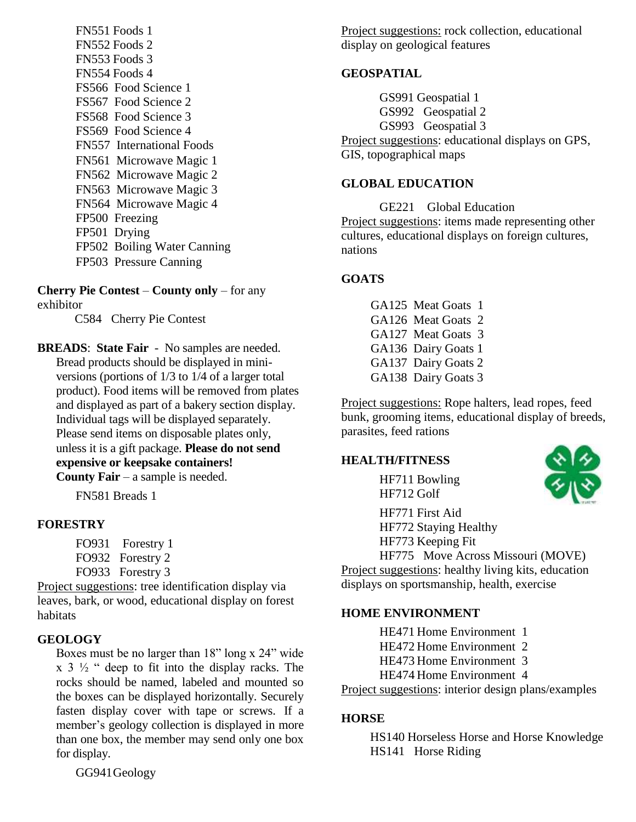FN551 Foods 1 FN552 Foods 2 FN553 Foods 3 FN554 Foods 4 FS566 Food Science 1 FS567 Food Science 2 FS568 Food Science 3 FS569 Food Science 4 FN557 International Foods FN561 Microwave Magic 1 FN562 Microwave Magic 2 FN563 Microwave Magic 3 FN564 Microwave Magic 4 FP500 Freezing FP501 Drying FP502 Boiling Water Canning FP503 Pressure Canning

**Cherry Pie Contest** – **County only** – for any exhibitor

C584 Cherry Pie Contest

**BREADS**: **State Fair** - No samples are needed. Bread products should be displayed in miniversions (portions of 1/3 to 1/4 of a larger total product). Food items will be removed from plates and displayed as part of a bakery section display. Individual tags will be displayed separately. Please send items on disposable plates only, unless it is a gift package. **Please do not send expensive or keepsake containers! County Fair** – a sample is needed.

FN581 Breads 1

#### **FORESTRY**

FO931 Forestry 1 FO932 Forestry 2 FO933 Forestry 3

Project suggestions: tree identification display via leaves, bark, or wood, educational display on forest habitats

#### **GEOLOGY**

Boxes must be no larger than 18" long x 24" wide  $x \in \mathbb{R}^3$   $\frac{1}{2}$  " deep to fit into the display racks. The rocks should be named, labeled and mounted so the boxes can be displayed horizontally. Securely fasten display cover with tape or screws. If a member's geology collection is displayed in more than one box, the member may send only one box for display.

GG941Geology

Project suggestions: rock collection, educational display on geological features

#### **GEOSPATIAL**

GS991 Geospatial 1 GS992 Geospatial 2 GS993 Geospatial 3 Project suggestions: educational displays on GPS, GIS, topographical maps

#### **GLOBAL EDUCATION**

GE221 Global Education Project suggestions: items made representing other cultures, educational displays on foreign cultures, nations

#### **GOATS**

GA125 Meat Goats 1 GA126 Meat Goats 2 GA127 Meat Goats 3 GA136 Dairy Goats 1 GA137 Dairy Goats 2 GA138 Dairy Goats 3

Project suggestions: Rope halters, lead ropes, feed bunk, grooming items, educational display of breeds, parasites, feed rations

#### **HEALTH/FITNESS**

HF711 Bowling HF712 Golf



HF771 First Aid HF772 Staying Healthy HF773 Keeping Fit

HF775 Move Across Missouri (MOVE) Project suggestions: healthy living kits, education displays on sportsmanship, health, exercise

#### **HOME ENVIRONMENT**

HE471 Home Environment 1

- HE472 Home Environment 2
- HE473 Home Environment 3
- HE474 Home Environment 4

Project suggestions: interior design plans/examples

#### **HORSE**

HS140 Horseless Horse and Horse Knowledge HS141 Horse Riding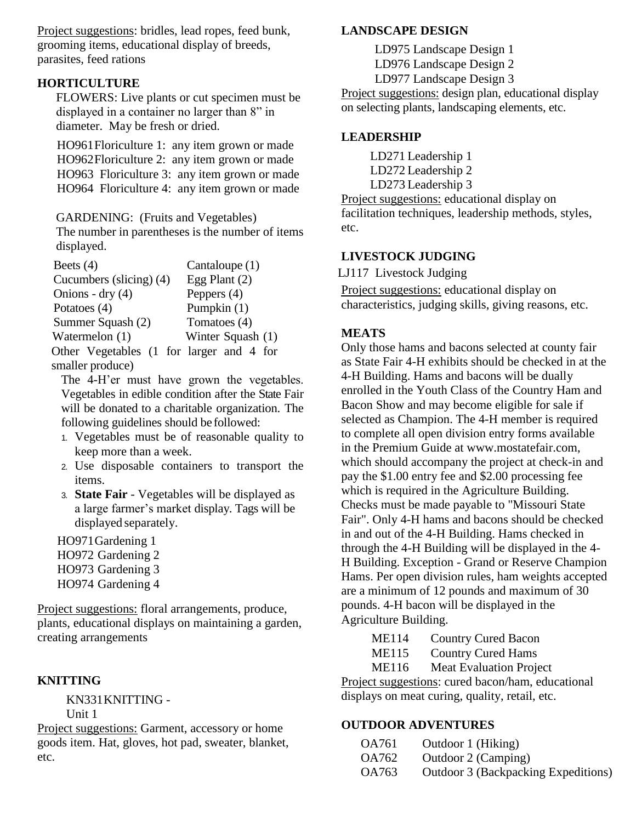Project suggestions: bridles, lead ropes, feed bunk, grooming items, educational display of breeds, parasites, feed rations

#### **HORTICULTURE**

FLOWERS: Live plants or cut specimen must be displayed in a container no larger than 8" in diameter. May be fresh or dried.

HO961Floriculture 1: any item grown or made HO962Floriculture 2: any item grown or made HO963 Floriculture 3: any item grown or made HO964 Floriculture 4: any item grown or made

GARDENING: (Fruits and Vegetables)

The number in parentheses is the number of items displayed.

| Beets $(4)$                              | Cantaloupe $(1)$  |
|------------------------------------------|-------------------|
| Cucumbers (slicing) (4)                  | Egg Plant $(2)$   |
| Onions - dry $(4)$                       | Peppers $(4)$     |
| Potatoes (4)                             | Pumpkin (1)       |
| Summer Squash (2)                        | Tomatoes (4)      |
| Watermelon (1)                           | Winter Squash (1) |
| Other Vegetables (1 for larger and 4 for |                   |
| smaller produce)                         |                   |

The 4-H'er must have grown the vegetables. Vegetables in edible condition after the State Fair will be donated to a charitable organization. The following guidelines should be followed:

- 1. Vegetables must be of reasonable quality to keep more than a week.
- 2. Use disposable containers to transport the items.
- 3. **State Fair** Vegetables will be displayed as a large farmer's market display. Tags will be displayed separately.

HO971Gardening 1 HO972 Gardening 2 HO973 Gardening 3 HO974 Gardening 4

Project suggestions: floral arrangements, produce, plants, educational displays on maintaining a garden, creating arrangements

#### **KNITTING**

KN331KNITTING - Unit 1

Project suggestions: Garment, accessory or home goods item. Hat, gloves, hot pad, sweater, blanket, etc.

#### **LANDSCAPE DESIGN**

LD975 Landscape Design 1

LD976 Landscape Design 2

LD977 Landscape Design 3

Project suggestions: design plan, educational display on selecting plants, landscaping elements, etc.

#### **LEADERSHIP**

LD271 Leadership 1 LD272 Leadership 2

LD273 Leadership 3

Project suggestions: educational display on facilitation techniques, leadership methods, styles, etc.

#### **LIVESTOCK JUDGING**

LJ117 Livestock Judging

Project suggestions: educational display on characteristics, judging skills, giving reasons, etc.

#### **MEATS**

Only those hams and bacons selected at county fair as State Fair 4-H exhibits should be checked in at the 4-H Building. Hams and bacons will be dually enrolled in the Youth Class of the Country Ham and Bacon Show and may become eligible for sale if selected as Champion. The 4-H member is required to complete all open division entry forms available in the Premium Guide at www.mostatefair.com, which should accompany the project at check-in and pay the \$1.00 entry fee and \$2.00 processing fee which is required in the Agriculture Building. Checks must be made payable to "Missouri State Fair". Only 4-H hams and bacons should be checked in and out of the 4-H Building. Hams checked in through the 4-H Building will be displayed in the 4- H Building. Exception - Grand or Reserve Champion Hams. Per open division rules, ham weights accepted are a minimum of 12 pounds and maximum of 30 pounds. 4-H bacon will be displayed in the Agriculture Building.

- ME114 Country Cured Bacon
- ME115 Country Cured Hams
- ME116 Meat Evaluation Project

Project suggestions: cured bacon/ham, educational displays on meat curing, quality, retail, etc.

#### **OUTDOOR ADVENTURES**

| OA761 | Outdoor 1 (Hiking)                  |
|-------|-------------------------------------|
| OA762 | Outdoor 2 (Camping)                 |
| OA763 | Outdoor 3 (Backpacking Expeditions) |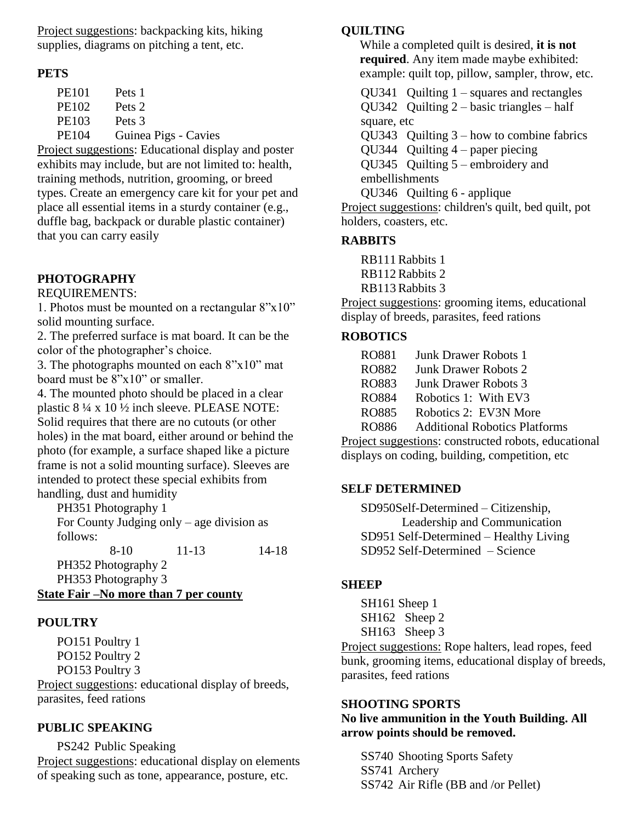Project suggestions: backpacking kits, hiking supplies, diagrams on pitching a tent, etc.

#### **PETS**

| <b>PE101</b> | Pets 1               |
|--------------|----------------------|
| PE102        | Pets 2               |
| <b>PE103</b> | Pets 3               |
| <b>PE104</b> | Guinea Pigs - Cavies |
|              |                      |

Project suggestions: Educational display and poster exhibits may include, but are not limited to: health, training methods, nutrition, grooming, or breed types. Create an emergency care kit for your pet and place all essential items in a sturdy container (e.g., duffle bag, backpack or durable plastic container) that you can carry easily

## **PHOTOGRAPHY**

REQUIREMENTS:

1. Photos must be mounted on a rectangular  $8"x10"$ solid mounting surface.

2. The preferred surface is mat board. It can be the color of the photographer's choice.

3. The photographs mounted on each 8"x10" mat board must be 8"x10" or smaller.

4. The mounted photo should be placed in a clear plastic 8 ¼ x 10 ½ inch sleeve. PLEASE NOTE: Solid requires that there are no cutouts (or other holes) in the mat board, either around or behind the photo (for example, a surface shaped like a picture frame is not a solid mounting surface). Sleeves are intended to protect these special exhibits from handling, dust and humidity

PH351 Photography 1 For County Judging only – age division as follows:

 8-10 11-13 14-18 PH352 Photography 2 PH353 Photography 3 **State Fair –No more than 7 per county**

## **POULTRY**

PO151 Poultry 1 PO152 Poultry 2 PO153 Poultry 3 Project suggestions: educational display of breeds,

parasites, feed rations

#### **PUBLIC SPEAKING**

PS242 Public Speaking Project suggestions: educational display on elements of speaking such as tone, appearance, posture, etc.

### **QUILTING**

While a completed quilt is desired, **it is not required**. Any item made maybe exhibited: example: quilt top, pillow, sampler, throw, etc.

QU341 Quilting 1 – squares and rectangles QU342 Quilting 2 – basic triangles – half

square, etc

QU343 Quilting 3 – how to combine fabrics

QU344 Quilting 4 – paper piecing

QU345 Quilting 5 – embroidery and embellishments

QU346 Quilting 6 - applique

Project suggestions: children's quilt, bed quilt, pot holders, coasters, etc.

#### **RABBITS**

RB111 Rabbits 1

- RB112 Rabbits 2
- RB113 Rabbits 3

Project suggestions: grooming items, educational display of breeds, parasites, feed rations

#### **ROBOTICS**

| RO881        | <b>Junk Drawer Robots 1</b>                  |
|--------------|----------------------------------------------|
| RO882        | <b>Junk Drawer Robots 2</b>                  |
| RO883        | <b>Junk Drawer Robots 3</b>                  |
| RO884        | Robotics 1: With EV3                         |
| <b>RO885</b> | Robotics 2: EV3N More                        |
| RO886        | <b>Additional Robotics Platforms</b>         |
|              | ioot guagastions: constructed reports, educe |

Project suggestions: constructed robots, educational displays on coding, building, competition, etc

#### **SELF DETERMINED**

SD950Self-Determined – Citizenship, Leadership and Communication SD951 Self-Determined – Healthy Living SD952 Self-Determined – Science

#### **SHEEP**

SH161 Sheep 1 SH162 Sheep 2 SH<sub>163</sub> Sheep 3

Project suggestions: Rope halters, lead ropes, feed bunk, grooming items, educational display of breeds, parasites, feed rations

#### **SHOOTING SPORTS**

#### **No live ammunition in the Youth Building. All arrow points should be removed.**

SS740 Shooting Sports Safety SS741 Archery SS742 Air Rifle (BB and /or Pellet)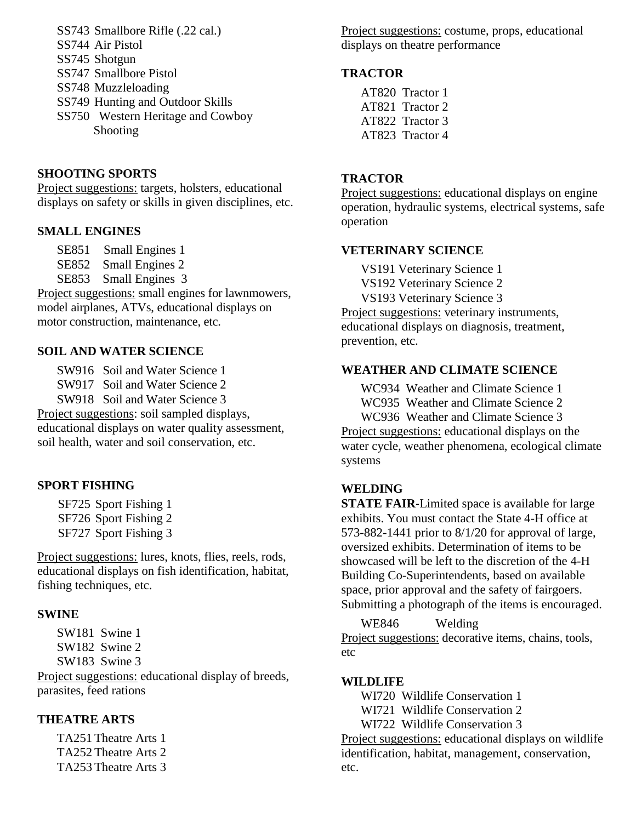- SS743 Smallbore Rifle (.22 cal.)
- SS744 Air Pistol
- SS745 Shotgun
- SS747 Smallbore Pistol
- SS748 Muzzleloading
- SS749 Hunting and Outdoor Skills
- SS750 Western Heritage and Cowboy Shooting

#### **SHOOTING SPORTS**

Project suggestions: targets, holsters, educational displays on safety or skills in given disciplines, etc.

#### **SMALL ENGINES**

SE851 Small Engines 1

- SE852 Small Engines 2
- SE853 Small Engines 3

Project suggestions: small engines for lawnmowers, model airplanes, ATVs, educational displays on motor construction, maintenance, etc.

#### **SOIL AND WATER SCIENCE**

- SW916 Soil and Water Science 1
- SW917 Soil and Water Science 2
- SW918 Soil and Water Science 3

Project suggestions: soil sampled displays, educational displays on water quality assessment, soil health, water and soil conservation, etc.

## **SPORT FISHING**

SF725 Sport Fishing 1 SF726 Sport Fishing 2 SF727 Sport Fishing 3

Project suggestions: lures, knots, flies, reels, rods, educational displays on fish identification, habitat, fishing techniques, etc.

#### **SWINE**

SW181 Swine 1 SW182 Swine 2 SW183 Swine 3

Project suggestions: educational display of breeds, parasites, feed rations

## **THEATRE ARTS**

TA251 Theatre Arts 1 TA252 Theatre Arts 2 TA253 Theatre Arts 3 Project suggestions: costume, props, educational displays on theatre performance

#### **TRACTOR**

AT820 Tractor 1 AT821 Tractor 2 AT822 Tractor 3 AT823 Tractor 4

#### **TRACTOR**

Project suggestions: educational displays on engine operation, hydraulic systems, electrical systems, safe operation

#### **VETERINARY SCIENCE**

VS191 Veterinary Science 1 VS192 Veterinary Science 2 VS193 Veterinary Science 3 Project suggestions: veterinary instruments, educational displays on diagnosis, treatment, prevention, etc.

#### **WEATHER AND CLIMATE SCIENCE**

WC934 Weather and Climate Science 1

WC935 Weather and Climate Science 2

WC936 Weather and Climate Science 3

Project suggestions: educational displays on the water cycle, weather phenomena, ecological climate systems

#### **WELDING**

**STATE FAIR**-Limited space is available for large exhibits. You must contact the State 4-H office at 573-882-1441 prior to 8/1/20 for approval of large, oversized exhibits. Determination of items to be showcased will be left to the discretion of the 4-H Building Co-Superintendents, based on available space, prior approval and the safety of fairgoers. Submitting a photograph of the items is encouraged.

WE846 Welding Project suggestions: decorative items, chains, tools, etc

#### **WILDLIFE**

WI720 Wildlife Conservation 1 WI721 Wildlife Conservation 2 WI722 Wildlife Conservation 3

Project suggestions: educational displays on wildlife identification, habitat, management, conservation, etc.